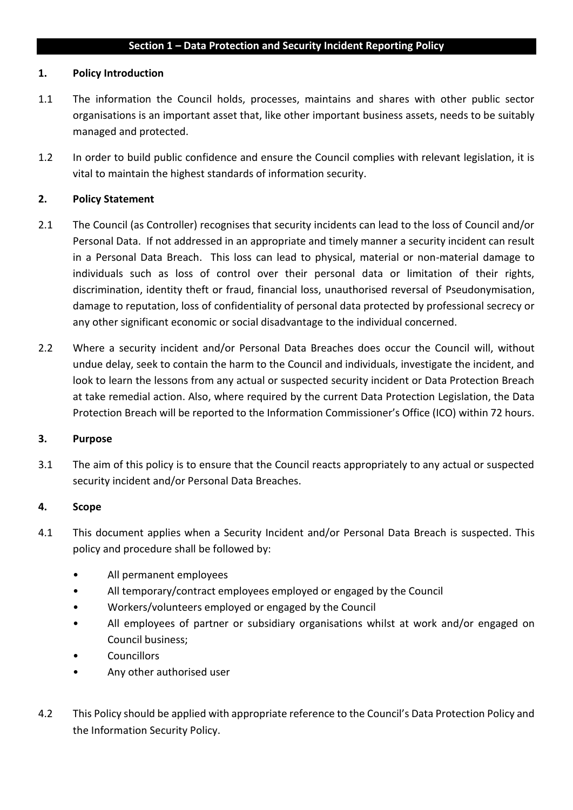### **Section 1 – Data Protection and Security Incident Reporting Policy**

### **1. Policy Introduction**

- 1.1 The information the Council holds, processes, maintains and shares with other public sector organisations is an important asset that, like other important business assets, needs to be suitably managed and protected.
- 1.2 In order to build public confidence and ensure the Council complies with relevant legislation, it is vital to maintain the highest standards of information security.

### **2. Policy Statement**

- 2.1 The Council (as Controller) recognises that security incidents can lead to the loss of Council and/or Personal Data. If not addressed in an appropriate and timely manner a security incident can result in a Personal Data Breach. This loss can lead to physical, material or non-material damage to individuals such as loss of control over their personal data or limitation of their rights, discrimination, identity theft or fraud, financial loss, unauthorised reversal of Pseudonymisation, damage to reputation, loss of confidentiality of personal data protected by professional secrecy or any other significant economic or social disadvantage to the individual concerned.
- 2.2 Where a security incident and/or Personal Data Breaches does occur the Council will, without undue delay, seek to contain the harm to the Council and individuals, investigate the incident, and look to learn the lessons from any actual or suspected security incident or Data Protection Breach at take remedial action. Also, where required by the current Data Protection Legislation, the Data Protection Breach will be reported to the Information Commissioner's Office (ICO) within 72 hours.

### **3. Purpose**

3.1 The aim of this policy is to ensure that the Council reacts appropriately to any actual or suspected security incident and/or Personal Data Breaches.

### **4. Scope**

- 4.1 This document applies when a Security Incident and/or Personal Data Breach is suspected. This policy and procedure shall be followed by:
	- All permanent employees
	- All temporary/contract employees employed or engaged by the Council
	- Workers/volunteers employed or engaged by the Council
	- All employees of partner or subsidiary organisations whilst at work and/or engaged on Council business;
	- Councillors
	- Any other authorised user
- 4.2 This Policy should be applied with appropriate reference to the Council's Data Protection Policy and the Information Security Policy.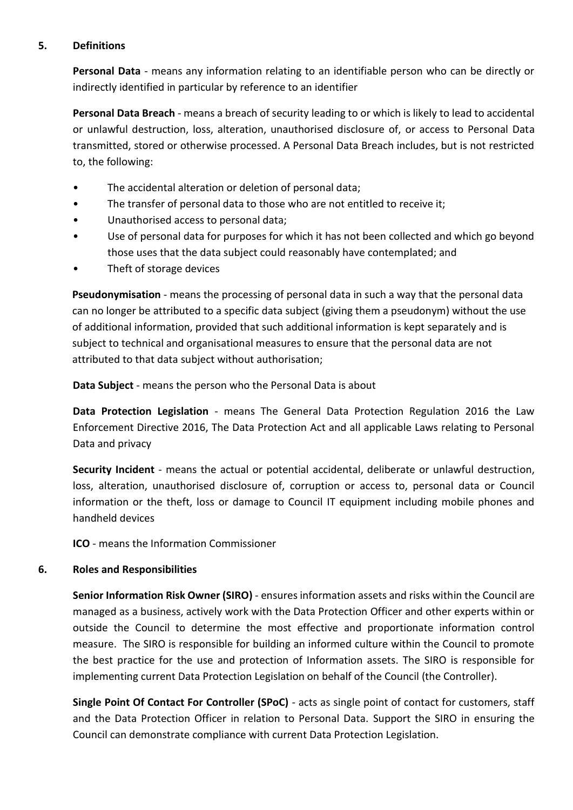### **5. Definitions**

**Personal Data** - means any information relating to an identifiable person who can be directly or indirectly identified in particular by reference to an identifier

**Personal Data Breach** - means a breach of security leading to or which is likely to lead to accidental or unlawful destruction, loss, alteration, unauthorised disclosure of, or access to Personal Data transmitted, stored or otherwise processed. A Personal Data Breach includes, but is not restricted to, the following:

- The accidental alteration or deletion of personal data;
- The transfer of personal data to those who are not entitled to receive it;
- Unauthorised access to personal data;
- Use of personal data for purposes for which it has not been collected and which go beyond those uses that the data subject could reasonably have contemplated; and
- Theft of storage devices

**Pseudonymisation** - means the processing of personal data in such a way that the personal data can no longer be attributed to a specific data subject (giving them a pseudonym) without the use of additional information, provided that such additional information is kept separately and is subject to technical and organisational measures to ensure that the personal data are not attributed to that data subject without authorisation;

**Data Subject** - means the person who the Personal Data is about

**Data Protection Legislation** - means The General Data Protection Regulation 2016 the Law Enforcement Directive 2016, The Data Protection Act and all applicable Laws relating to Personal Data and privacy

**Security Incident** - means the actual or potential accidental, deliberate or unlawful destruction, loss, alteration, unauthorised disclosure of, corruption or access to, personal data or Council information or the theft, loss or damage to Council IT equipment including mobile phones and handheld devices

**ICO** - means the Information Commissioner

### **6. Roles and Responsibilities**

**Senior Information Risk Owner (SIRO)** - ensures information assets and risks within the Council are managed as a business, actively work with the Data Protection Officer and other experts within or outside the Council to determine the most effective and proportionate information control measure. The SIRO is responsible for building an informed culture within the Council to promote the best practice for the use and protection of Information assets. The SIRO is responsible for implementing current Data Protection Legislation on behalf of the Council (the Controller).

**Single Point Of Contact For Controller (SPoC)** - acts as single point of contact for customers, staff and the Data Protection Officer in relation to Personal Data. Support the SIRO in ensuring the Council can demonstrate compliance with current Data Protection Legislation.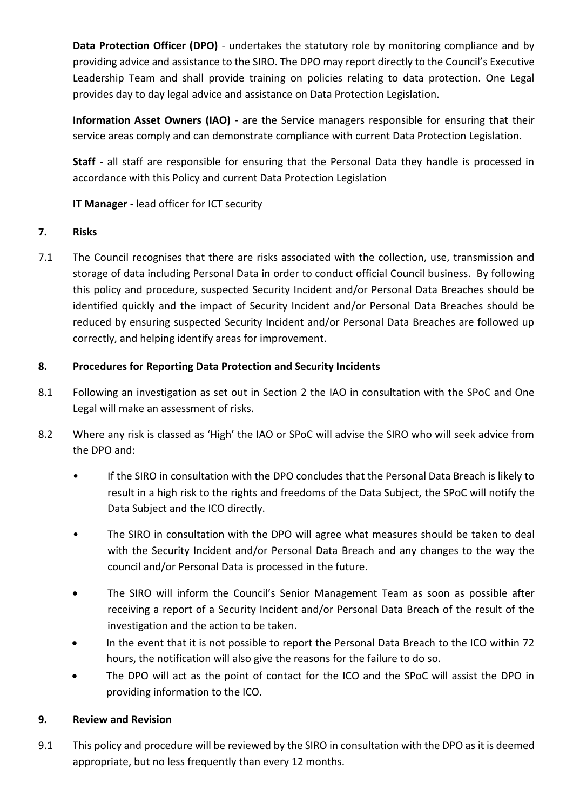**Data Protection Officer (DPO)** - undertakes the statutory role by monitoring compliance and by providing advice and assistance to the SIRO. The DPO may report directly to the Council's Executive Leadership Team and shall provide training on policies relating to data protection. One Legal provides day to day legal advice and assistance on Data Protection Legislation.

**Information Asset Owners (IAO)** - are the Service managers responsible for ensuring that their service areas comply and can demonstrate compliance with current Data Protection Legislation.

**Staff** - all staff are responsible for ensuring that the Personal Data they handle is processed in accordance with this Policy and current Data Protection Legislation

**IT Manager** - lead officer for ICT security

## **7. Risks**

7.1 The Council recognises that there are risks associated with the collection, use, transmission and storage of data including Personal Data in order to conduct official Council business. By following this policy and procedure, suspected Security Incident and/or Personal Data Breaches should be identified quickly and the impact of Security Incident and/or Personal Data Breaches should be reduced by ensuring suspected Security Incident and/or Personal Data Breaches are followed up correctly, and helping identify areas for improvement.

## **8. Procedures for Reporting Data Protection and Security Incidents**

- 8.1 Following an investigation as set out in Section 2 the IAO in consultation with the SPoC and One Legal will make an assessment of risks.
- 8.2 Where any risk is classed as 'High' the IAO or SPoC will advise the SIRO who will seek advice from the DPO and:
	- If the SIRO in consultation with the DPO concludes that the Personal Data Breach is likely to result in a high risk to the rights and freedoms of the Data Subject, the SPoC will notify the Data Subject and the ICO directly.
	- The SIRO in consultation with the DPO will agree what measures should be taken to deal with the Security Incident and/or Personal Data Breach and any changes to the way the council and/or Personal Data is processed in the future.
	- The SIRO will inform the Council's Senior Management Team as soon as possible after receiving a report of a Security Incident and/or Personal Data Breach of the result of the investigation and the action to be taken.
	- In the event that it is not possible to report the Personal Data Breach to the ICO within 72 hours, the notification will also give the reasons for the failure to do so.
	- The DPO will act as the point of contact for the ICO and the SPoC will assist the DPO in providing information to the ICO.

# **9. Review and Revision**

9.1 This policy and procedure will be reviewed by the SIRO in consultation with the DPO as it is deemed appropriate, but no less frequently than every 12 months.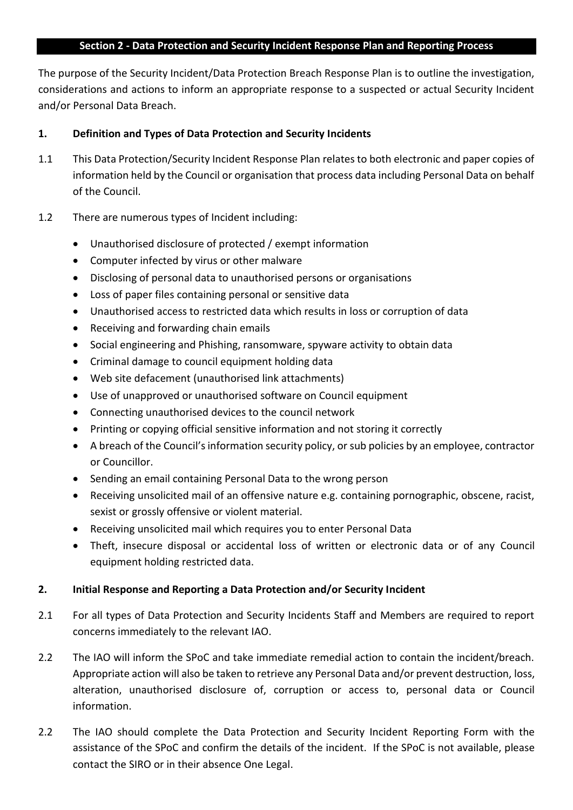### **Section 2 - Data Protection and Security Incident Response Plan and Reporting Process**

The purpose of the Security Incident/Data Protection Breach Response Plan is to outline the investigation, considerations and actions to inform an appropriate response to a suspected or actual Security Incident and/or Personal Data Breach.

### **1. Definition and Types of Data Protection and Security Incidents**

- 1.1 This Data Protection/Security Incident Response Plan relates to both electronic and paper copies of information held by the Council or organisation that process data including Personal Data on behalf of the Council.
- 1.2 There are numerous types of Incident including:
	- Unauthorised disclosure of protected / exempt information
	- Computer infected by virus or other malware
	- Disclosing of personal data to unauthorised persons or organisations
	- Loss of paper files containing personal or sensitive data
	- Unauthorised access to restricted data which results in loss or corruption of data
	- Receiving and forwarding chain emails
	- Social engineering and Phishing, ransomware, spyware activity to obtain data
	- Criminal damage to council equipment holding data
	- Web site defacement (unauthorised link attachments)
	- Use of unapproved or unauthorised software on Council equipment
	- Connecting unauthorised devices to the council network
	- Printing or copying official sensitive information and not storing it correctly
	- A breach of the Council's information security policy, or sub policies by an employee, contractor or Councillor.
	- Sending an email containing Personal Data to the wrong person
	- Receiving unsolicited mail of an offensive nature e.g. containing pornographic, obscene, racist, sexist or grossly offensive or violent material.
	- Receiving unsolicited mail which requires you to enter Personal Data
	- Theft, insecure disposal or accidental loss of written or electronic data or of any Council equipment holding restricted data.

### **2. Initial Response and Reporting a Data Protection and/or Security Incident**

- 2.1 For all types of Data Protection and Security Incidents Staff and Members are required to report concerns immediately to the relevant IAO.
- 2.2 The IAO will inform the SPoC and take immediate remedial action to contain the incident/breach. Appropriate action will also be taken to retrieve any Personal Data and/or prevent destruction, loss, alteration, unauthorised disclosure of, corruption or access to, personal data or Council information.
- 2.2 The IAO should complete the Data Protection and Security Incident Reporting Form with the assistance of the SPoC and confirm the details of the incident. If the SPoC is not available, please contact the SIRO or in their absence One Legal.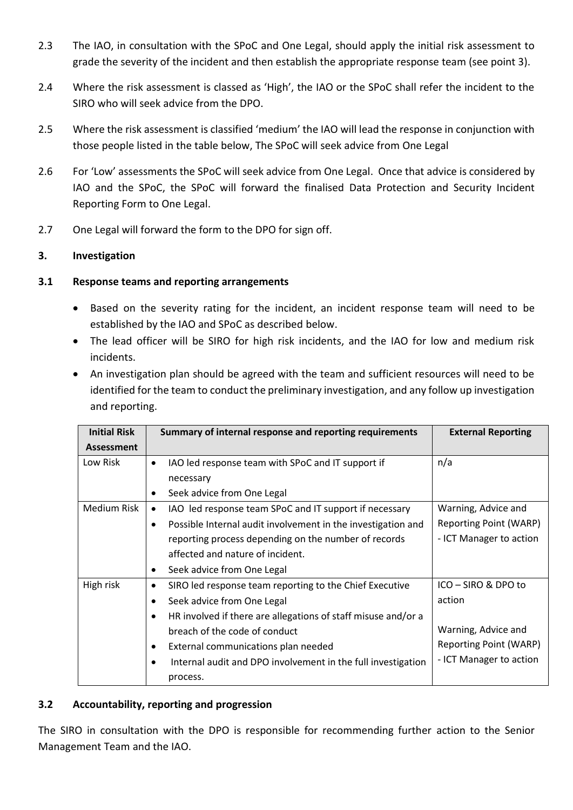- 2.3 The IAO, in consultation with the SPoC and One Legal, should apply the initial risk assessment to grade the severity of the incident and then establish the appropriate response team (see point 3).
- 2.4 Where the risk assessment is classed as 'High', the IAO or the SPoC shall refer the incident to the SIRO who will seek advice from the DPO.
- 2.5 Where the risk assessment is classified 'medium' the IAO will lead the response in conjunction with those people listed in the table below, The SPoC will seek advice from One Legal
- 2.6 For 'Low' assessments the SPoC will seek advice from One Legal. Once that advice is considered by IAO and the SPoC, the SPoC will forward the finalised Data Protection and Security Incident Reporting Form to One Legal.
- 2.7 One Legal will forward the form to the DPO for sign off.

## **3. Investigation**

## **3.1 Response teams and reporting arrangements**

- Based on the severity rating for the incident, an incident response team will need to be established by the IAO and SPoC as described below.
- The lead officer will be SIRO for high risk incidents, and the IAO for low and medium risk incidents.
- An investigation plan should be agreed with the team and sufficient resources will need to be identified for the team to conduct the preliminary investigation, and any follow up investigation and reporting.

| <b>Initial Risk</b> | Summary of internal response and reporting requirements                    | <b>External Reporting</b> |
|---------------------|----------------------------------------------------------------------------|---------------------------|
| <b>Assessment</b>   |                                                                            |                           |
| Low Risk            | IAO led response team with SPoC and IT support if<br>$\bullet$             | n/a                       |
|                     | necessary                                                                  |                           |
|                     | Seek advice from One Legal<br>$\bullet$                                    |                           |
| Medium Risk         | IAO led response team SPoC and IT support if necessary<br>$\bullet$        | Warning, Advice and       |
|                     | Possible Internal audit involvement in the investigation and<br>$\bullet$  | Reporting Point (WARP)    |
|                     | reporting process depending on the number of records                       | - ICT Manager to action   |
|                     | affected and nature of incident.                                           |                           |
|                     | Seek advice from One Legal<br>$\bullet$                                    |                           |
| High risk           | SIRO led response team reporting to the Chief Executive<br>$\bullet$       | ICO - SIRO & DPO to       |
|                     | Seek advice from One Legal<br>$\bullet$                                    | action                    |
|                     | HR involved if there are allegations of staff misuse and/or a<br>$\bullet$ |                           |
|                     | breach of the code of conduct                                              | Warning, Advice and       |
|                     | External communications plan needed<br>$\bullet$                           | Reporting Point (WARP)    |
|                     | Internal audit and DPO involvement in the full investigation<br>$\bullet$  | - ICT Manager to action   |
|                     | process.                                                                   |                           |

### **3.2 Accountability, reporting and progression**

The SIRO in consultation with the DPO is responsible for recommending further action to the Senior Management Team and the IAO.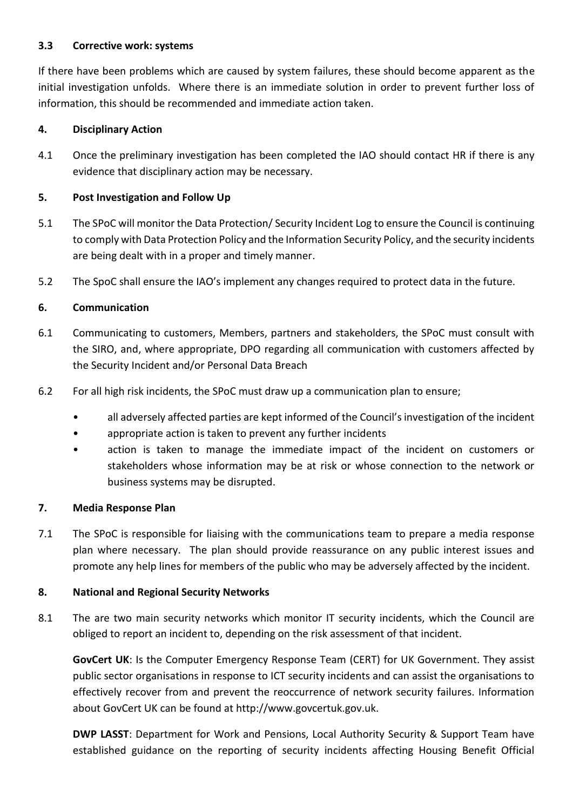### **3.3 Corrective work: systems**

If there have been problems which are caused by system failures, these should become apparent as the initial investigation unfolds. Where there is an immediate solution in order to prevent further loss of information, this should be recommended and immediate action taken.

## **4. Disciplinary Action**

4.1 Once the preliminary investigation has been completed the IAO should contact HR if there is any evidence that disciplinary action may be necessary.

# **5. Post Investigation and Follow Up**

- 5.1 The SPoC will monitor the Data Protection/ Security Incident Log to ensure the Council is continuing to comply with Data Protection Policy and the Information Security Policy, and the security incidents are being dealt with in a proper and timely manner.
- 5.2 The SpoC shall ensure the IAO's implement any changes required to protect data in the future.

## **6. Communication**

- 6.1 Communicating to customers, Members, partners and stakeholders, the SPoC must consult with the SIRO, and, where appropriate, DPO regarding all communication with customers affected by the Security Incident and/or Personal Data Breach
- 6.2 For all high risk incidents, the SPoC must draw up a communication plan to ensure;
	- all adversely affected parties are kept informed of the Council's investigation of the incident
	- appropriate action is taken to prevent any further incidents
	- action is taken to manage the immediate impact of the incident on customers or stakeholders whose information may be at risk or whose connection to the network or business systems may be disrupted.

### **7. Media Response Plan**

7.1 The SPoC is responsible for liaising with the communications team to prepare a media response plan where necessary. The plan should provide reassurance on any public interest issues and promote any help lines for members of the public who may be adversely affected by the incident.

# **8. National and Regional Security Networks**

8.1 The are two main security networks which monitor IT security incidents, which the Council are obliged to report an incident to, depending on the risk assessment of that incident.

**GovCert UK**: Is the Computer Emergency Response Team (CERT) for UK Government. They assist public sector organisations in response to ICT security incidents and can assist the organisations to effectively recover from and prevent the reoccurrence of network security failures. Information about GovCert UK can be found at http://www.govcertuk.gov.uk.

**DWP LASST**: Department for Work and Pensions, Local Authority Security & Support Team have established guidance on the reporting of security incidents affecting Housing Benefit Official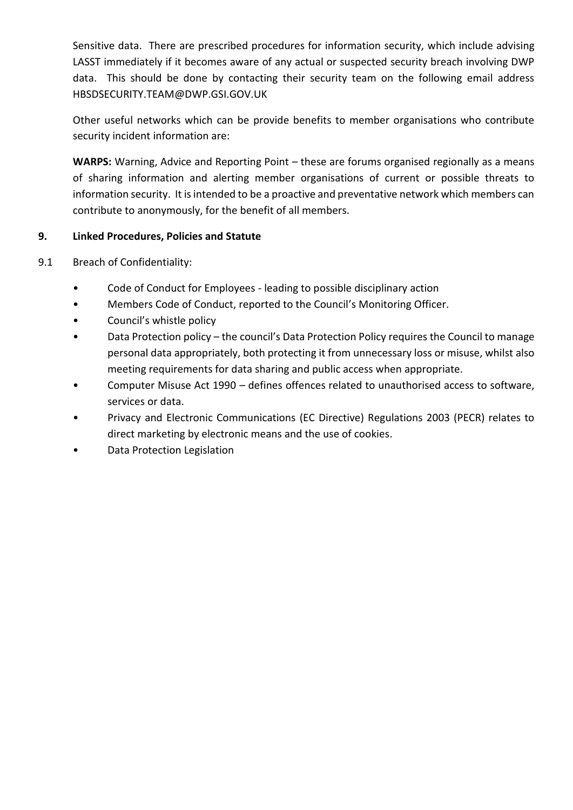Sensitive data. There are prescribed procedures for information security, which include advising LASST immediately if it becomes aware of any actual or suspected security breach involving DWP data. This should be done by contacting their security team on the following email address HBSDSECURITY.TEAM@DWP.GSI.GOV.UK

Other useful networks which can be provide benefits to member organisations who contribute security incident information are:

**WARPS:** Warning, Advice and Reporting Point – these are forums organised regionally as a means of sharing information and alerting member organisations of current or possible threats to information security. It is intended to be a proactive and preventative network which members can contribute to anonymously, for the benefit of all members.

### **9. Linked Procedures, Policies and Statute**

- 9.1 Breach of Confidentiality:
	- Code of Conduct for Employees leading to possible disciplinary action
	- Members Code of Conduct, reported to the Council's Monitoring Officer.
	- Council's whistle policy
	- Data Protection policy the council's Data Protection Policy requires the Council to manage personal data appropriately, both protecting it from unnecessary loss or misuse, whilst also meeting requirements for data sharing and public access when appropriate.
	- Computer Misuse Act 1990 defines offences related to unauthorised access to software, services or data.
	- Privacy and Electronic Communications (EC Directive) Regulations 2003 (PECR) relates to direct marketing by electronic means and the use of cookies.
	- Data Protection Legislation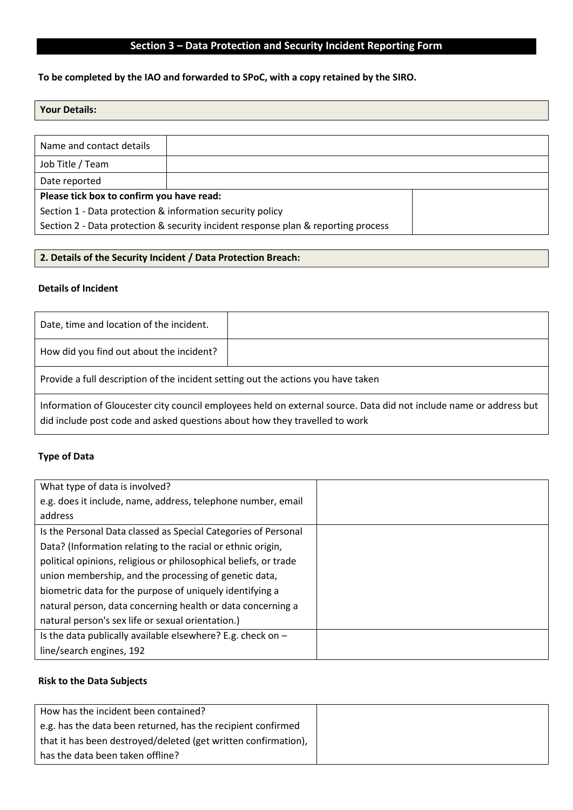# **Section 3 – Data Protection and Security Incident Reporting Form**

## **To be completed by the IAO and forwarded to SPoC, with a copy retained by the SIRO.**

### **Your Details:**

| Name and contact details                                                          |  |  |
|-----------------------------------------------------------------------------------|--|--|
| Job Title / Team                                                                  |  |  |
| Date reported                                                                     |  |  |
| Please tick box to confirm you have read:                                         |  |  |
| Section 1 - Data protection & information security policy                         |  |  |
| Section 2 - Data protection & security incident response plan & reporting process |  |  |

#### **2. Details of the Security Incident / Data Protection Breach:**

#### **Details of Incident**

| Date, time and location of the incident.                                                                                                                                                         |  |  |
|--------------------------------------------------------------------------------------------------------------------------------------------------------------------------------------------------|--|--|
| How did you find out about the incident?                                                                                                                                                         |  |  |
| Provide a full description of the incident setting out the actions you have taken                                                                                                                |  |  |
| Information of Gloucester city council employees held on external source. Data did not include name or address but<br>did include post code and asked questions about how they travelled to work |  |  |

### **Type of Data**

| What type of data is involved?                                   |  |
|------------------------------------------------------------------|--|
| e.g. does it include, name, address, telephone number, email     |  |
| address                                                          |  |
| Is the Personal Data classed as Special Categories of Personal   |  |
| Data? (Information relating to the racial or ethnic origin,      |  |
| political opinions, religious or philosophical beliefs, or trade |  |
| union membership, and the processing of genetic data,            |  |
| biometric data for the purpose of uniquely identifying a         |  |
| natural person, data concerning health or data concerning a      |  |
| natural person's sex life or sexual orientation.)                |  |
| Is the data publically available elsewhere? E.g. check on $-$    |  |
| line/search engines, 192                                         |  |

### **Risk to the Data Subjects**

| How has the incident been contained?                           |  |
|----------------------------------------------------------------|--|
| e.g. has the data been returned, has the recipient confirmed   |  |
| that it has been destroyed/deleted (get written confirmation), |  |
| has the data been taken offline?                               |  |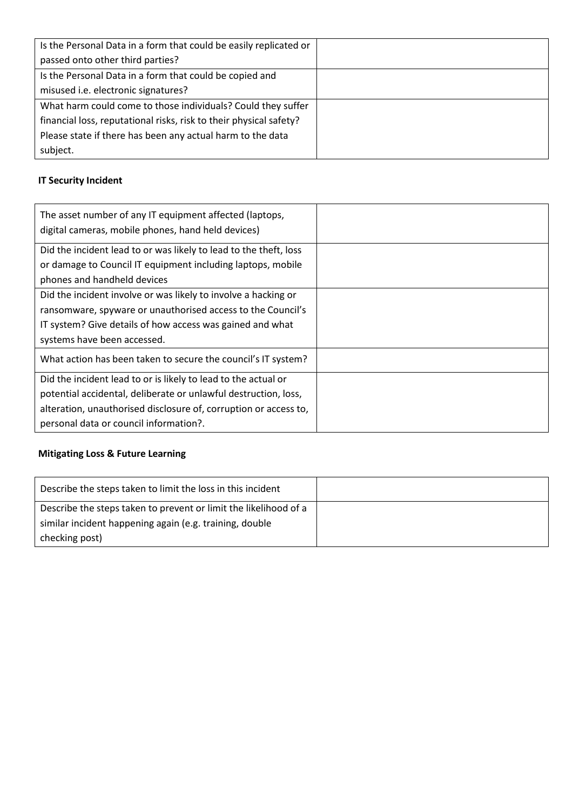| Is the Personal Data in a form that could be easily replicated or  |  |
|--------------------------------------------------------------------|--|
| passed onto other third parties?                                   |  |
| Is the Personal Data in a form that could be copied and            |  |
| misused i.e. electronic signatures?                                |  |
| What harm could come to those individuals? Could they suffer       |  |
| financial loss, reputational risks, risk to their physical safety? |  |
| Please state if there has been any actual harm to the data         |  |
| subject.                                                           |  |

# **IT Security Incident**

| The asset number of any IT equipment affected (laptops,<br>digital cameras, mobile phones, hand held devices) |  |
|---------------------------------------------------------------------------------------------------------------|--|
| Did the incident lead to or was likely to lead to the theft, loss                                             |  |
| or damage to Council IT equipment including laptops, mobile                                                   |  |
| phones and handheld devices                                                                                   |  |
| Did the incident involve or was likely to involve a hacking or                                                |  |
| ransomware, spyware or unauthorised access to the Council's                                                   |  |
| IT system? Give details of how access was gained and what                                                     |  |
| systems have been accessed.                                                                                   |  |
| What action has been taken to secure the council's IT system?                                                 |  |
| Did the incident lead to or is likely to lead to the actual or                                                |  |
| potential accidental, deliberate or unlawful destruction, loss,                                               |  |
| alteration, unauthorised disclosure of, corruption or access to,                                              |  |
| personal data or council information?.                                                                        |  |

# **Mitigating Loss & Future Learning**

| Describe the steps taken to limit the loss in this incident      |  |
|------------------------------------------------------------------|--|
| Describe the steps taken to prevent or limit the likelihood of a |  |
| similar incident happening again (e.g. training, double          |  |
| checking post)                                                   |  |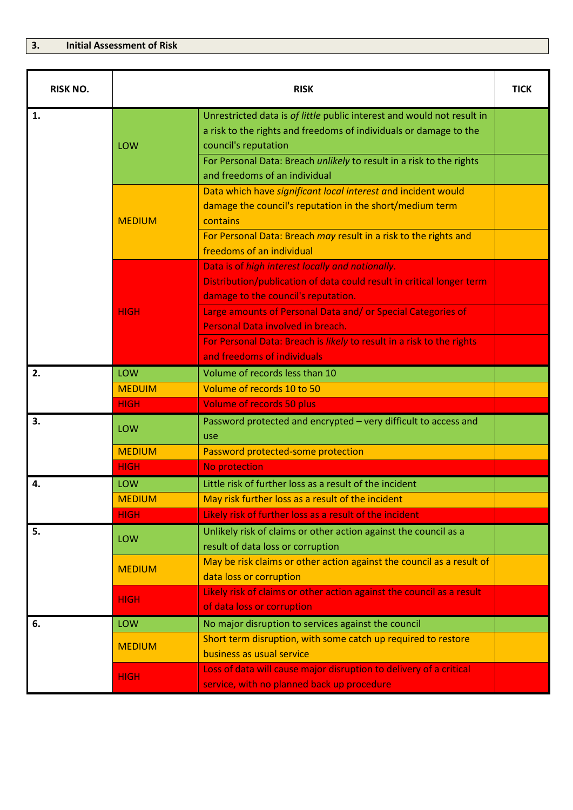| <b>RISK NO.</b> | <b>RISK</b>   |                                                                                                                                                                     |  |
|-----------------|---------------|---------------------------------------------------------------------------------------------------------------------------------------------------------------------|--|
| 1.              | LOW           | Unrestricted data is of little public interest and would not result in<br>a risk to the rights and freedoms of individuals or damage to the<br>council's reputation |  |
|                 |               | For Personal Data: Breach unlikely to result in a risk to the rights<br>and freedoms of an individual                                                               |  |
|                 | <b>MEDIUM</b> | Data which have significant local interest and incident would<br>damage the council's reputation in the short/medium term<br>contains                               |  |
|                 |               | For Personal Data: Breach may result in a risk to the rights and<br>freedoms of an individual                                                                       |  |
|                 | <b>HIGH</b>   | Data is of high interest locally and nationally.<br>Distribution/publication of data could result in critical longer term<br>damage to the council's reputation.    |  |
|                 |               | Large amounts of Personal Data and/ or Special Categories of<br>Personal Data involved in breach.                                                                   |  |
|                 |               | For Personal Data: Breach is likely to result in a risk to the rights<br>and freedoms of individuals                                                                |  |
| 2.              | LOW           | Volume of records less than 10                                                                                                                                      |  |
|                 | <b>MEDUIM</b> | Volume of records 10 to 50                                                                                                                                          |  |
|                 | <b>HIGH</b>   | <b>Volume of records 50 plus</b>                                                                                                                                    |  |
| 3.              | LOW           | Password protected and encrypted - very difficult to access and<br>use                                                                                              |  |
|                 | <b>MEDIUM</b> | Password protected-some protection                                                                                                                                  |  |
|                 | <b>HIGH</b>   | No protection                                                                                                                                                       |  |
| 4.              | LOW           | Little risk of further loss as a result of the incident                                                                                                             |  |
|                 | <b>MEDIUM</b> | May risk further loss as a result of the incident                                                                                                                   |  |
|                 | <b>HIGH</b>   | Likely risk of further loss as a result of the incident                                                                                                             |  |
| 5.              | LOW           | Unlikely risk of claims or other action against the council as a<br>result of data loss or corruption                                                               |  |
|                 | <b>MEDIUM</b> | May be risk claims or other action against the council as a result of<br>data loss or corruption                                                                    |  |
|                 | <b>HIGH</b>   | Likely risk of claims or other action against the council as a result<br>of data loss or corruption                                                                 |  |
| 6.              | LOW           | No major disruption to services against the council                                                                                                                 |  |
|                 | <b>MEDIUM</b> | Short term disruption, with some catch up required to restore<br>business as usual service                                                                          |  |
|                 | <b>HIGH</b>   | Loss of data will cause major disruption to delivery of a critical<br>service, with no planned back up procedure                                                    |  |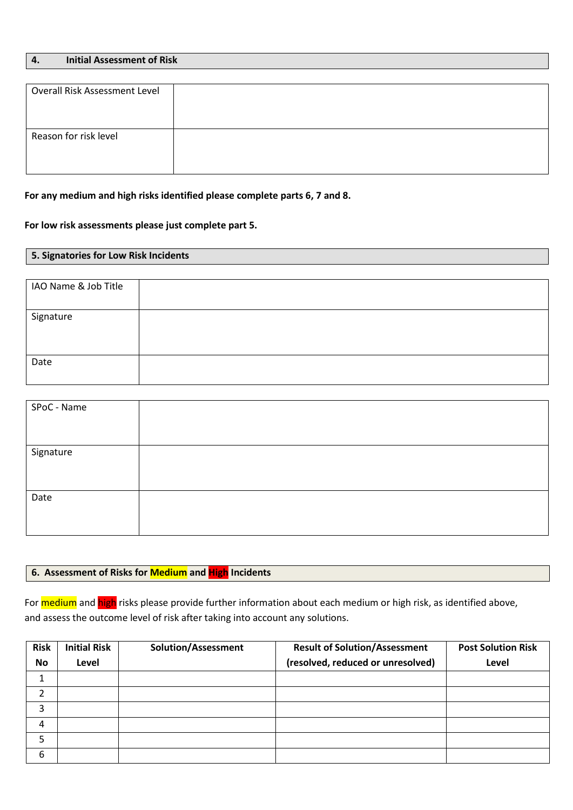| <b>Initial Assessment of Risk</b> |  |
|-----------------------------------|--|
|-----------------------------------|--|

| <b>Overall Risk Assessment Level</b> |  |
|--------------------------------------|--|
|                                      |  |
| Reason for risk level                |  |
|                                      |  |

#### **For any medium and high risks identified please complete parts 6, 7 and 8.**

#### **For low risk assessments please just complete part 5.**

#### **5. Signatories for Low Risk Incidents**

| IAO Name & Job Title |  |
|----------------------|--|
| Signature            |  |
| Date                 |  |

| SPoC - Name |  |
|-------------|--|
|             |  |
|             |  |
|             |  |
|             |  |
| Signature   |  |
|             |  |
|             |  |
|             |  |
|             |  |
| Date        |  |
|             |  |
|             |  |
|             |  |
|             |  |

#### **6. Assessment of Risks for Medium and High Incidents**

For medium and high risks please provide further information about each medium or high risk, as identified above, and assess the outcome level of risk after taking into account any solutions.

| <b>Risk</b> | <b>Initial Risk</b> | Solution/Assessment | <b>Result of Solution/Assessment</b> | <b>Post Solution Risk</b> |
|-------------|---------------------|---------------------|--------------------------------------|---------------------------|
| <b>No</b>   | Level               |                     | (resolved, reduced or unresolved)    | Level                     |
|             |                     |                     |                                      |                           |
| 2           |                     |                     |                                      |                           |
| 3           |                     |                     |                                      |                           |
| 4           |                     |                     |                                      |                           |
| 5           |                     |                     |                                      |                           |
| 6           |                     |                     |                                      |                           |